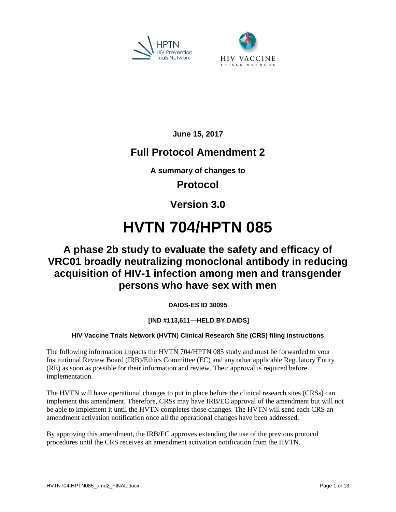



**June 15, 2017**

# **Full Protocol Amendment 2**

**A summary of changes to**

# **Protocol**

# **Version 3.0**

# **HVTN 704/HPTN 085**

# **A phase 2b study to evaluate the safety and efficacy of VRC01 broadly neutralizing monoclonal antibody in reducing acquisition of HIV-1 infection among men and transgender persons who have sex with men**

**DAIDS-ES ID 30095**

# **[IND #113,611—HELD BY DAIDS]**

# **HIV Vaccine Trials Network (HVTN) Clinical Research Site (CRS) filing instructions**

The following information impacts the HVTN 704/HPTN 085 study and must be forwarded to your Institutional Review Board (IRB)/Ethics Committee (EC) and any other applicable Regulatory Entity (RE) as soon as possible for their information and review. Their approval is required before implementation.

The HVTN will have operational changes to put in place before the clinical research sites (CRSs) can implement this amendment. Therefore, CRSs may have IRB/EC approval of the amendment but will not be able to implement it until the HVTN completes those changes. The HVTN will send each CRS an amendment activation notification once all the operational changes have been addressed.

By approving this amendment, the IRB/EC approves extending the use of the previous protocol procedures until the CRS receives an amendment activation notification from the HVTN.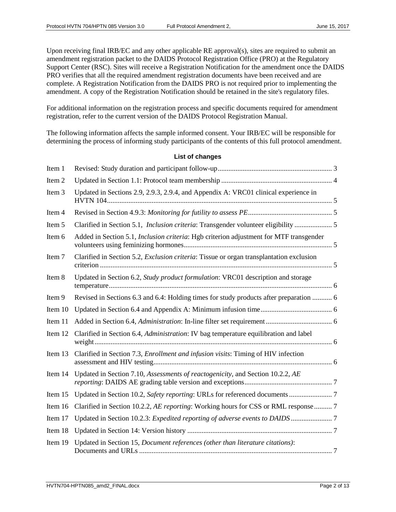Upon receiving final IRB/EC and any other applicable RE approval(s), sites are required to submit an amendment registration packet to the DAIDS Protocol Registration Office (PRO) at the Regulatory Support Center (RSC). Sites will receive a Registration Notification for the amendment once the DAIDS PRO verifies that all the required amendment registration documents have been received and are complete. A Registration Notification from the DAIDS PRO is not required prior to implementing the amendment. A copy of the Registration Notification should be retained in the site's regulatory files.

For additional information on the registration process and specific documents required for amendment registration, refer to the current version of the DAIDS Protocol Registration Manual.

The following information affects the sample informed consent. Your IRB/EC will be responsible for determining the process of informing study participants of the contents of this full protocol amendment.

#### **List of changes**

| Item 1  |                                                                                                |  |
|---------|------------------------------------------------------------------------------------------------|--|
| Item 2  |                                                                                                |  |
| Item 3  | Updated in Sections 2.9, 2.9.3, 2.9.4, and Appendix A: VRC01 clinical experience in            |  |
| Item 4  |                                                                                                |  |
| Item 5  | Clarified in Section 5.1, <i>Inclusion criteria</i> : Transgender volunteer eligibility  5     |  |
| Item 6  | Added in Section 5.1, <i>Inclusion criteria</i> : Hgb criterion adjustment for MTF transgender |  |
| Item 7  | Clarified in Section 5.2, Exclusion criteria: Tissue or organ transplantation exclusion        |  |
| Item 8  | Updated in Section 6.2, Study product formulation: VRC01 description and storage               |  |
| Item 9  | Revised in Sections 6.3 and 6.4: Holding times for study products after preparation  6         |  |
| Item 10 |                                                                                                |  |
| Item 11 |                                                                                                |  |
| Item 12 | Clarified in Section 6.4, Administration: IV bag temperature equilibration and label           |  |
| Item 13 | Clarified in Section 7.3, <i>Enrollment and infusion visits</i> : Timing of HIV infection      |  |
| Item 14 | Updated in Section 7.10, Assessments of reactogenicity, and Section 10.2.2, AE                 |  |
| Item 15 |                                                                                                |  |
| Item 16 | Clarified in Section 10.2.2, AE reporting: Working hours for CSS or RML response  7            |  |
| Item 17 |                                                                                                |  |
| Item 18 |                                                                                                |  |
| Item 19 | Updated in Section 15, Document references (other than literature citations):                  |  |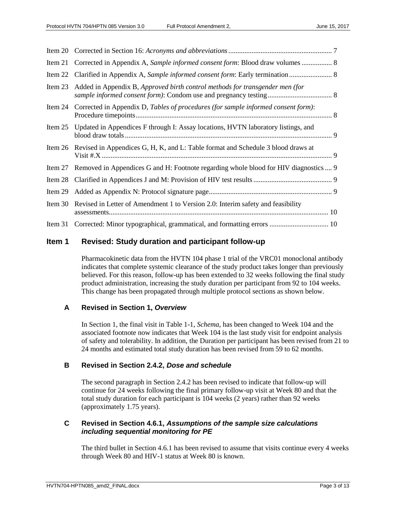|           | Item 21 Corrected in Appendix A, Sample informed consent form: Blood draw volumes  8      |
|-----------|-------------------------------------------------------------------------------------------|
|           | Item 22 Clarified in Appendix A, Sample informed consent form: Early termination  8       |
| Item $23$ | Added in Appendix B, Approved birth control methods for transgender men (for              |
|           | Item 24 Corrected in Appendix D, Tables of procedures (for sample informed consent form): |
|           | Item 25 Updated in Appendices F through I: Assay locations, HVTN laboratory listings, and |
|           | Item 26 Revised in Appendices G, H, K, and L: Table format and Schedule 3 blood draws at  |
| Item 27   | Removed in Appendices G and H: Footnote regarding whole blood for HIV diagnostics  9      |
| Item 28   |                                                                                           |
|           |                                                                                           |
| Item $30$ | Revised in Letter of Amendment 1 to Version 2.0: Interim safety and feasibility           |
|           |                                                                                           |

# <span id="page-2-0"></span>**Item 1 Revised: Study duration and participant follow-up**

Pharmacokinetic data from the HVTN 104 phase 1 trial of the VRC01 monoclonal antibody indicates that complete systemic clearance of the study product takes longer than previously believed. For this reason, follow-up has been extended to 32 weeks following the final study product administration, increasing the study duration per participant from 92 to 104 weeks. This change has been propagated through multiple protocol sections as shown below.

# **A Revised in Section 1,** *Overview*

In Section 1, the final visit in Table 1-1, *Schema*, has been changed to Week 104 and the associated footnote now indicates that Week 104 is the last study visit for endpoint analysis of safety and tolerability. In addition, the Duration per participant has been revised from 21 to 24 months and estimated total study duration has been revised from 59 to 62 months.

# **B Revised in Section 2.4.2,** *Dose and schedule*

The second paragraph in Section 2.4.2 has been revised to indicate that follow-up will continue for 24 weeks following the final primary follow-up visit at Week 80 and that the total study duration for each participant is 104 weeks (2 years) rather than 92 weeks (approximately 1.75 years).

# **C Revised in Section 4.6.1,** *Assumptions of the sample size calculations including sequential monitoring for PE*

The third bullet in Section 4.6.1 has been revised to assume that visits continue every 4 weeks through Week 80 and HIV-1 status at Week 80 is known.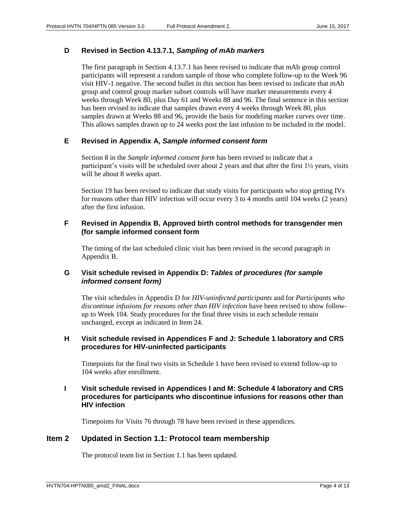#### **D Revised in Section 4.13.7.1,** *Sampling of mAb markers*

The first paragraph in Section 4.13.7.1 has been revised to indicate that mAb group control participants will represent a random sample of those who complete follow-up to the Week 96 visit HIV-1 negative. The second bullet in this section has been revised to indicate that mAb group and control group marker subset controls will have marker measurements every 4 weeks through Week 80, plus Day 61 and Weeks 88 and 96. The final sentence in this section has been revised to indicate that samples drawn every 4 weeks through Week 80, plus samples drawn at Weeks 88 and 96, provide the basis for modeling marker curves over time. This allows samples drawn up to 24 weeks post the last infusion to be included in the model.

#### **E Revised in Appendix A,** *Sample informed consent form*

Section 8 in the *Sample informed consent form* has been revised to indicate that a participant's visits will be scheduled over about 2 years and that after the first 1½ years, visits will be about 8 weeks apart.

Section 19 has been revised to indicate that study visits for participants who stop getting IVs for reasons other than HIV infection will occur every 3 to 4 months until 104 weeks (2 years) after the first infusion.

#### **F Revised in Appendix B, Approved birth control methods for transgender men (for sample informed consent form**

The timing of the last scheduled clinic visit has been revised in the second paragraph in Appendix B.

#### **G Visit schedule revised in Appendix D:** *Tables of procedures (for sample informed consent form)*

The visit schedules in Appendix D for *HIV-uninfected participants* and for *Participants who discontinue infusions for reasons other than HIV infection* have been revised to show followup to Week 104. Study procedures for the final three visits in each schedule remain unchanged, except as indicated in [Item 24.](#page-7-3)

#### **H Visit schedule revised in Appendices F and J: Schedule 1 laboratory and CRS procedures for HIV-uninfected participants**

Timepoints for the final two visits in Schedule 1 have been revised to extend follow-up to 104 weeks after enrollment.

#### **I Visit schedule revised in Appendices I and M: Schedule 4 laboratory and CRS procedures for participants who discontinue infusions for reasons other than HIV infection**

Timepoints for Visits 76 through 78 have been revised in these appendices.

#### <span id="page-3-0"></span>**Item 2 Updated in Section 1.1: Protocol team membership**

The protocol team list in Section 1.1 has been updated.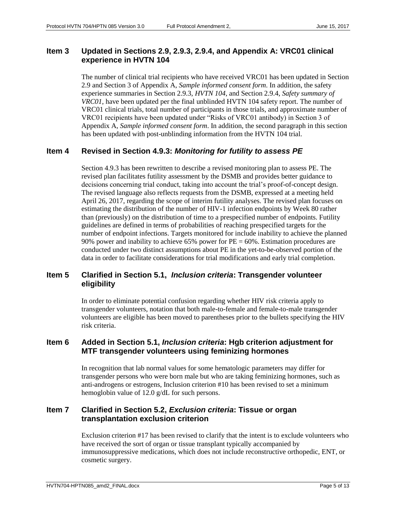#### <span id="page-4-0"></span>**Item 3 Updated in Sections 2.9, 2.9.3, 2.9.4, and Appendix A: VRC01 clinical experience in HVTN 104**

The number of clinical trial recipients who have received VRC01 has been updated in Section 2.9 and Section 3 of Appendix A, *Sample informed consent form*. In addition, the safety experience summaries in Section 2.9.3, *HVTN 104*, and Section 2.9.4, *Safety summary of VRC01*, have been updated per the final unblinded HVTN 104 safety report. The number of VRC01 clinical trials, total number of participants in those trials, and approximate number of VRC01 recipients have been updated under "Risks of VRC01 antibody) in Section 3 of Appendix A, *Sample informed consent form*. In addition, the second paragraph in this section has been updated with post-unblinding information from the HVTN 104 trial.

#### <span id="page-4-1"></span>**Item 4 Revised in Section 4.9.3:** *Monitoring for futility to assess PE*

Section 4.9.3 has been rewritten to describe a revised monitoring plan to assess PE. The revised plan facilitates futility assessment by the DSMB and provides better guidance to decisions concerning trial conduct, taking into account the trial's proof-of-concept design. The revised language also reflects requests from the DSMB, expressed at a meeting held April 26, 2017, regarding the scope of interim futility analyses. The revised plan focuses on estimating the distribution of the number of HIV-1 infection endpoints by Week 80 rather than (previously) on the distribution of time to a prespecified number of endpoints. Futility guidelines are defined in terms of probabilities of reaching prespecified targets for the number of endpoint infections. Targets monitored for include inability to achieve the planned 90% power and inability to achieve 65% power for  $PE = 60\%$ . Estimation procedures are conducted under two distinct assumptions about PE in the yet-to-be-observed portion of the data in order to facilitate considerations for trial modifications and early trial completion.

# <span id="page-4-2"></span>**Item 5 Clarified in Section 5.1,** *Inclusion criteria***: Transgender volunteer eligibility**

In order to eliminate potential confusion regarding whether HIV risk criteria apply to transgender volunteers, notation that both male-to-female and female-to-male transgender volunteers are eligible has been moved to parentheses prior to the bullets specifying the HIV risk criteria.

# <span id="page-4-3"></span>**Item 6 Added in Section 5.1,** *Inclusion criteria***: Hgb criterion adjustment for MTF transgender volunteers using feminizing hormones**

In recognition that lab normal values for some hematologic parameters may differ for transgender persons who were born male but who are taking feminizing hormones, such as anti-androgens or estrogens, Inclusion criterion #10 has been revised to set a minimum hemoglobin value of 12.0 g/dL for such persons.

# <span id="page-4-4"></span>**Item 7 Clarified in Section 5.2,** *Exclusion criteria***: Tissue or organ transplantation exclusion criterion**

Exclusion criterion #17 has been revised to clarify that the intent is to exclude volunteers who have received the sort of organ or tissue transplant typically accompanied by immunosuppressive medications, which does not include reconstructive orthopedic, ENT, or cosmetic surgery.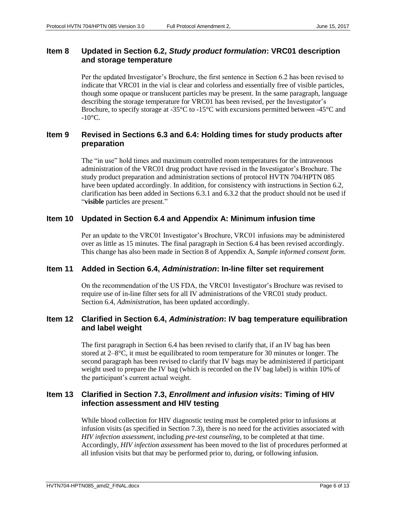# <span id="page-5-0"></span>**Item 8 Updated in Section 6.2,** *Study product formulation***: VRC01 description and storage temperature**

Per the updated Investigator's Brochure, the first sentence in Section 6.2 has been revised to indicate that VRC01 in the vial is clear and colorless and essentially free of visible particles, though some opaque or translucent particles may be present. In the same paragraph, language describing the storage temperature for VRC01 has been revised, per the Investigator's Brochure, to specify storage at -35°C to -15°C with excursions permitted between -45°C and  $-10$ °C.

# <span id="page-5-1"></span>**Item 9 Revised in Sections 6.3 and 6.4: Holding times for study products after preparation**

The "in use" hold times and maximum controlled room temperatures for the intravenous administration of the VRC01 drug product have revised in the Investigator's Brochure. The study product preparation and administration sections of protocol HVTN 704/HPTN 085 have been updated accordingly. In addition, for consistency with instructions in Section 6.2, clarification has been added in Sections 6.3.1 and 6.3.2 that the product should not be used if "**visible** particles are present."

#### <span id="page-5-2"></span>**Item 10 Updated in Section 6.4 and Appendix A: Minimum infusion time**

Per an update to the VRC01 Investigator's Brochure, VRC01 infusions may be administered over as little as 15 minutes. The final paragraph in Section 6.4 has been revised accordingly. This change has also been made in Section 8 of Appendix A, *Sample informed consent form*.

#### <span id="page-5-3"></span>**Item 11 Added in Section 6.4,** *Administration***: In-line filter set requirement**

On the recommendation of the US FDA, the VRC01 Investigator's Brochure was revised to require use of in-line filter sets for all IV administrations of the VRC01 study product. Section 6.4, *Administration*, has been updated accordingly.

#### <span id="page-5-4"></span>**Item 12 Clarified in Section 6.4,** *Administration***: IV bag temperature equilibration and label weight**

The first paragraph in Section 6.4 has been revised to clarify that, if an IV bag has been stored at 2–8°C, it must be equilibrated to room temperature for 30 minutes or longer. The second paragraph has been revised to clarify that IV bags may be administered if participant weight used to prepare the IV bag (which is recorded on the IV bag label) is within 10% of the participant's current actual weight.

# <span id="page-5-5"></span>**Item 13 Clarified in Section 7.3,** *Enrollment and infusion visits***: Timing of HIV infection assessment and HIV testing**

While blood collection for HIV diagnostic testing must be completed prior to infusions at infusion visits (as specified in Section 7.3), there is no need for the activities associated with *HIV infection assessment*, including *pre-test counseling*, to be completed at that time. Accordingly, *HIV infection assessment* has been moved to the list of procedures performed at all infusion visits but that may be performed prior to, during, or following infusion.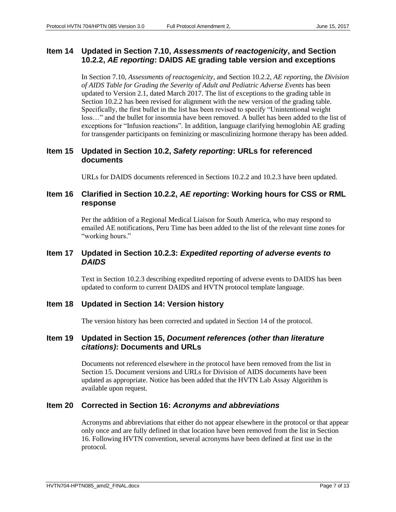# <span id="page-6-0"></span>**Item 14 Updated in Section 7.10,** *Assessments of reactogenicity***, and Section 10.2.2,** *AE reporting***: DAIDS AE grading table version and exceptions**

In Section 7.10, *Assessments of reactogenicity*, and Section 10.2.2, *AE reporting*, the *Division of AIDS Table for Grading the Severity of Adult and Pediatric Adverse Events* has been updated to Version 2.1, dated March 2017. The list of exceptions to the grading table in Section 10.2.2 has been revised for alignment with the new version of the grading table. Specifically, the first bullet in the list has been revised to specify "Unintentional weight loss…" and the bullet for insomnia have been removed. A bullet has been added to the list of exceptions for "Infusion reactions". In addition, language clarifying hemoglobin AE grading for transgender participants on feminizing or masculinizing hormone therapy has been added.

# <span id="page-6-1"></span>**Item 15 Updated in Section 10.2,** *Safety reporting***: URLs for referenced documents**

URLs for DAIDS documents referenced in Sections 10.2.2 and 10.2.3 have been updated.

#### <span id="page-6-2"></span>**Item 16 Clarified in Section 10.2.2,** *AE reporting***: Working hours for CSS or RML response**

Per the addition of a Regional Medical Liaison for South America, who may respond to emailed AE notifications, Peru Time has been added to the list of the relevant time zones for "working hours."

#### <span id="page-6-3"></span>**Item 17 Updated in Section 10.2.3:** *Expedited reporting of adverse events to DAIDS*

Text in Section 10.2.3 describing expedited reporting of adverse events to DAIDS has been updated to conform to current DAIDS and HVTN protocol template language.

#### <span id="page-6-4"></span>**Item 18 Updated in Section 14: Version history**

The version history has been corrected and updated in Section 14 of the protocol.

#### <span id="page-6-5"></span>**Item 19 Updated in Section 15,** *Document references (other than literature citations)***: Documents and URLs**

Documents not referenced elsewhere in the protocol have been removed from the list in Section 15. Document versions and URLs for Division of AIDS documents have been updated as appropriate. Notice has been added that the HVTN Lab Assay Algorithm is available upon request.

#### <span id="page-6-6"></span>**Item 20 Corrected in Section 16:** *Acronyms and abbreviations*

Acronyms and abbreviations that either do not appear elsewhere in the protocol or that appear only once and are fully defined in that location have been removed from the list in Section 16. Following HVTN convention, several acronyms have been defined at first use in the protocol.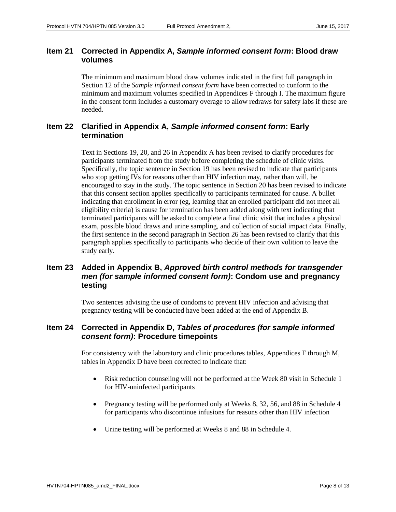# <span id="page-7-0"></span>**Item 21 Corrected in Appendix A,** *Sample informed consent form***: Blood draw volumes**

The minimum and maximum blood draw volumes indicated in the first full paragraph in Section 12 of the *Sample informed consent form* have been corrected to conform to the minimum and maximum volumes specified in Appendices F through I. The maximum figure in the consent form includes a customary overage to allow redraws for safety labs if these are needed.

# <span id="page-7-1"></span>**Item 22 Clarified in Appendix A,** *Sample informed consent form***: Early termination**

Text in Sections 19, 20, and 26 in Appendix A has been revised to clarify procedures for participants terminated from the study before completing the schedule of clinic visits. Specifically, the topic sentence in Section 19 has been revised to indicate that participants who stop getting IVs for reasons other than HIV infection may, rather than will, be encouraged to stay in the study. The topic sentence in Section 20 has been revised to indicate that this consent section applies specifically to participants terminated for cause. A bullet indicating that enrollment in error (eg, learning that an enrolled participant did not meet all eligibility criteria) is cause for termination has been added along with text indicating that terminated participants will be asked to complete a final clinic visit that includes a physical exam, possible blood draws and urine sampling, and collection of social impact data. Finally, the first sentence in the second paragraph in Section 26 has been revised to clarify that this paragraph applies specifically to participants who decide of their own volition to leave the study early.

# <span id="page-7-2"></span>**Item 23 Added in Appendix B,** *Approved birth control methods for transgender men (for sample informed consent form)***: Condom use and pregnancy testing**

Two sentences advising the use of condoms to prevent HIV infection and advising that pregnancy testing will be conducted have been added at the end of Appendix B.

# <span id="page-7-3"></span>**Item 24 Corrected in Appendix D,** *Tables of procedures (for sample informed consent form)***: Procedure timepoints**

For consistency with the laboratory and clinic procedures tables, Appendices F through M, tables in Appendix D have been corrected to indicate that:

- Risk reduction counseling will not be performed at the Week 80 visit in Schedule 1 for HIV-uninfected participants
- Pregnancy testing will be performed only at Weeks 8, 32, 56, and 88 in Schedule 4 for participants who discontinue infusions for reasons other than HIV infection
- Urine testing will be performed at Weeks 8 and 88 in Schedule 4.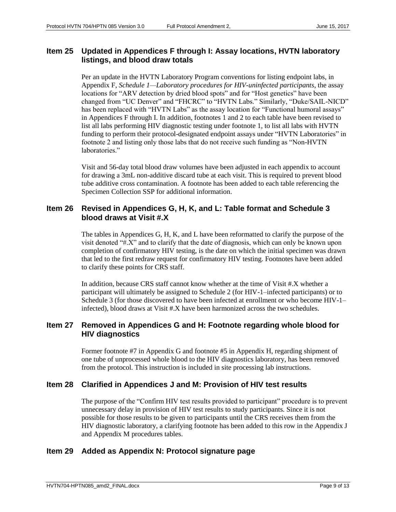#### <span id="page-8-0"></span>**Item 25 Updated in Appendices F through I: Assay locations, HVTN laboratory listings, and blood draw totals**

Per an update in the HVTN Laboratory Program conventions for listing endpoint labs, in Appendix F, *Schedule 1—Laboratory procedures for HIV-uninfected participants*, the assay locations for "ARV detection by dried blood spots" and for "Host genetics" have been changed from "UC Denver" and "FHCRC" to "HVTN Labs." Similarly, "Duke/SAIL-NICD" has been replaced with "HVTN Labs" as the assay location for "Functional humoral assays" in Appendices F through I. In addition, footnotes 1 and 2 to each table have been revised to list all labs performing HIV diagnostic testing under footnote 1, to list all labs with HVTN funding to perform their protocol-designated endpoint assays under "HVTN Laboratories" in footnote 2 and listing only those labs that do not receive such funding as "Non-HVTN laboratories."

Visit and 56-day total blood draw volumes have been adjusted in each appendix to account for drawing a 3mL non-additive discard tube at each visit. This is required to prevent blood tube additive cross contamination. A footnote has been added to each table referencing the Specimen Collection SSP for additional information.

#### <span id="page-8-1"></span>**Item 26 Revised in Appendices G, H, K, and L: Table format and Schedule 3 blood draws at Visit #.X**

The tables in Appendices G, H, K, and L have been reformatted to clarify the purpose of the visit denoted "#.X" and to clarify that the date of diagnosis, which can only be known upon completion of confirmatory HIV testing, is the date on which the initial specimen was drawn that led to the first redraw request for confirmatory HIV testing. Footnotes have been added to clarify these points for CRS staff.

In addition, because CRS staff cannot know whether at the time of Visit #.X whether a participant will ultimately be assigned to Schedule 2 (for HIV-1–infected participants) or to Schedule 3 (for those discovered to have been infected at enrollment or who become HIV-1– infected), blood draws at Visit #.X have been harmonized across the two schedules.

# <span id="page-8-2"></span>**Item 27 Removed in Appendices G and H: Footnote regarding whole blood for HIV diagnostics**

Former footnote #7 in Appendix G and footnote #5 in Appendix H, regarding shipment of one tube of unprocessed whole blood to the HIV diagnostics laboratory, has been removed from the protocol. This instruction is included in site processing lab instructions.

#### <span id="page-8-3"></span>**Item 28 Clarified in Appendices J and M: Provision of HIV test results**

The purpose of the "Confirm HIV test results provided to participant" procedure is to prevent unnecessary delay in provision of HIV test results to study participants. Since it is not possible for those results to be given to participants until the CRS receives them from the HIV diagnostic laboratory, a clarifying footnote has been added to this row in the Appendix J and Appendix M procedures tables.

#### <span id="page-8-4"></span>**Item 29 Added as Appendix N: Protocol signature page**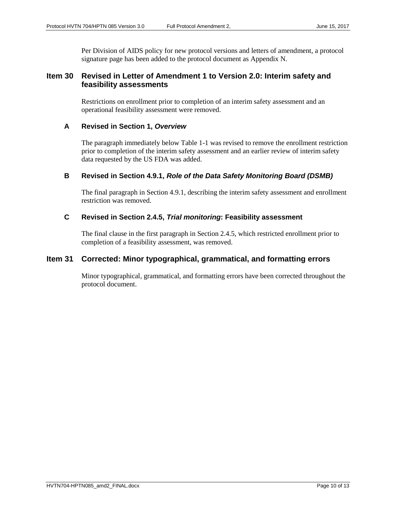Per Division of AIDS policy for new protocol versions and letters of amendment, a protocol signature page has been added to the protocol document as Appendix N.

#### <span id="page-9-0"></span>**Item 30 Revised in Letter of Amendment 1 to Version 2.0: Interim safety and feasibility assessments**

Restrictions on enrollment prior to completion of an interim safety assessment and an operational feasibility assessment were removed.

#### **A Revised in Section 1,** *Overview*

The paragraph immediately below Table 1-1 was revised to remove the enrollment restriction prior to completion of the interim safety assessment and an earlier review of interim safety data requested by the US FDA was added.

#### **B Revised in Section 4.9.1,** *Role of the Data Safety Monitoring Board (DSMB)*

The final paragraph in Section 4.9.1, describing the interim safety assessment and enrollment restriction was removed.

#### **C Revised in Section 2.4.5,** *Trial monitoring***: Feasibility assessment**

The final clause in the first paragraph in Section 2.4.5, which restricted enrollment prior to completion of a feasibility assessment, was removed.

#### <span id="page-9-1"></span>**Item 31 Corrected: Minor typographical, grammatical, and formatting errors**

Minor typographical, grammatical, and formatting errors have been corrected throughout the protocol document.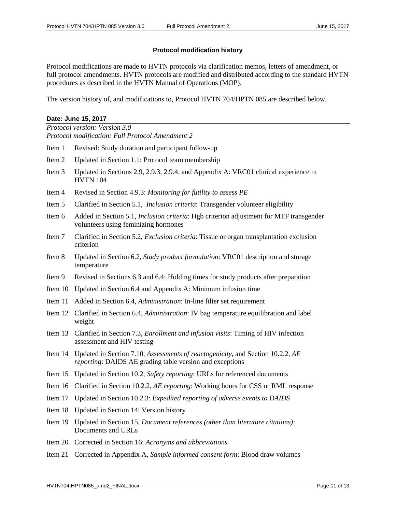#### **Protocol modification history**

Protocol modifications are made to HVTN protocols via clarification memos, letters of amendment, or full protocol amendments. HVTN protocols are modified and distributed according to the standard HVTN procedures as described in the HVTN Manual of Operations (MOP).

The version history of, and modifications to, Protocol HVTN 704/HPTN 085 are described below.

#### **Date: June 15, 2017**

*Protocol version: Version 3.0 Protocol modification: Full Protocol Amendment 2*

- Item 1 Revised: Study duration and participant follow-up
- Item 2 Updated in Section 1.1: Protocol team membership
- Item 3 Updated in Sections 2.9, 2.9.3, 2.9.4, and Appendix A: VRC01 clinical experience in HVTN 104
- Item 4 Revised in Section 4.9.3: *Monitoring for futility to assess PE*
- Item 5 Clarified in Section 5.1, *Inclusion criteria*: Transgender volunteer eligibility
- Item 6 Added in Section 5.1, *Inclusion criteria*: Hgb criterion adjustment for MTF transgender volunteers using feminizing hormones
- Item 7 Clarified in Section 5.2, *Exclusion criteria*: Tissue or organ transplantation exclusion criterion
- Item 8 Updated in Section 6.2, *Study product formulation*: VRC01 description and storage temperature
- Item 9 Revised in Sections 6.3 and 6.4: Holding times for study products after preparation
- Item 10 Updated in Section 6.4 and Appendix A: Minimum infusion time
- Item 11 Added in Section 6.4, *Administration*: In-line filter set requirement
- Item 12 Clarified in Section 6.4, *Administration*: IV bag temperature equilibration and label weight
- Item 13 Clarified in Section 7.3, *Enrollment and infusion visits*: Timing of HIV infection assessment and HIV testing
- Item 14 Updated in Section 7.10, *Assessments of reactogenicity*, and Section 10.2.2, *AE reporting*: DAIDS AE grading table version and exceptions
- Item 15 Updated in Section 10.2, *Safety reporting*: URLs for referenced documents
- Item 16 Clarified in Section 10.2.2, *AE reporting*: Working hours for CSS or RML response
- Item 17 Updated in Section 10.2.3: *Expedited reporting of adverse events to DAIDS*
- Item 18 Updated in Section 14: Version history
- Item 19 Updated in Section 15, *Document references (other than literature citations)*: Documents and URLs
- Item 20 Corrected in Section 16: *Acronyms and abbreviations*
- Item 21 Corrected in Appendix A, *Sample informed consent form*: Blood draw volumes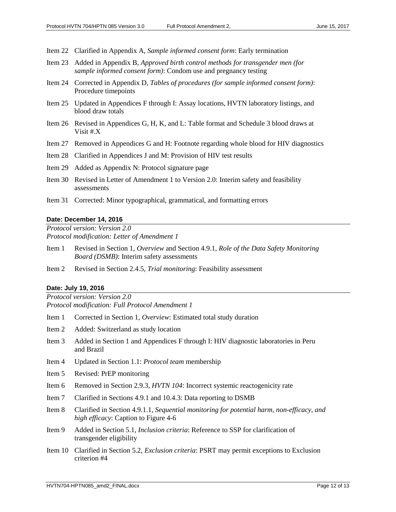- Item 22 Clarified in Appendix A, *Sample informed consent form*: Early termination
- Item 23 Added in Appendix B, *Approved birth control methods for transgender men (for sample informed consent form)*: Condom use and pregnancy testing
- Item 24 Corrected in Appendix D, *Tables of procedures (for sample informed consent form)*: Procedure timepoints
- Item 25 Updated in Appendices F through I: Assay locations, HVTN laboratory listings, and blood draw totals
- Item 26 Revised in Appendices G, H, K, and L: Table format and Schedule 3 blood draws at Visit #.X
- Item 27 Removed in Appendices G and H: Footnote regarding whole blood for HIV diagnostics
- Item 28 Clarified in Appendices J and M: Provision of HIV test results
- Item 29 Added as Appendix N: Protocol signature page
- Item 30 Revised in Letter of Amendment 1 to Version 2.0: Interim safety and feasibility assessments
- Item 31 Corrected: Minor typographical, grammatical, and formatting errors

#### **Date: December 14, 2016**

*Protocol version: Version 2.0 Protocol modification: Letter of Amendment 1*

- Item 1 Revised in Section 1, *Overview* and Section 4.9.1, *Role of the Data Safety Monitoring Board (DSMB)*: Interim safety assessments
- Item 2 Revised in Section 2.4.5, *Trial monitoring*: Feasibility assessment

#### **Date: July 19, 2016**

*Protocol version: Version 2.0 Protocol modification: Full Protocol Amendment 1*

- Item 1 Corrected in Section 1, *Overview*: Estimated total study duration
- Item 2 Added: Switzerland as study location
- Item 3 Added in Section 1 and Appendices F through I: HIV diagnostic laboratories in Peru and Brazil
- Item 4 Updated in Section 1.1: *Protocol team* membership
- Item 5 Revised: PrEP monitoring
- Item 6 Removed in Section 2.9.3, *HVTN 104*: Incorrect systemic reactogenicity rate
- Item 7 Clarified in Sections 4.9.1 and 10.4.3: Data reporting to DSMB
- Item 8 Clarified in Section 4.9.1.1, *Sequential monitoring for potential harm, non-efficacy, and high efficacy*: Caption to Figure 4-6
- Item 9 Added in Section 5.1, *Inclusion criteria*: Reference to SSP for clarification of transgender eligibility
- Item 10 Clarified in Section 5.2, *Exclusion criteria*: PSRT may permit exceptions to Exclusion criterion #4